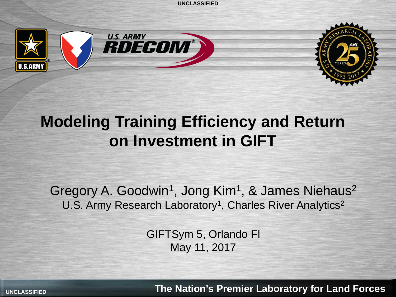

## **Modeling Training Efficiency and Return on Investment in GIFT**

Gregory A. Goodwin<sup>1</sup>, Jong Kim<sup>1</sup>, & James Niehaus<sup>2</sup> U.S. Army Research Laboratory<sup>1</sup>, Charles River Analytics<sup>2</sup>

> GIFTSym 5, Orlando Fl May 11, 2017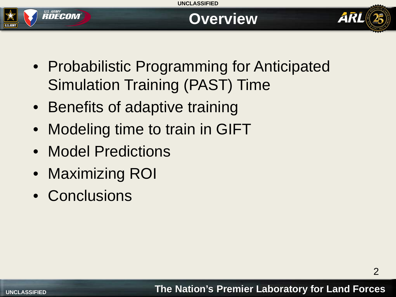





- Probabilistic Programming for Anticipated Simulation Training (PAST) Time
- Benefits of adaptive training
- Modeling time to train in GIFT
- Model Predictions
- Maximizing ROI
- Conclusions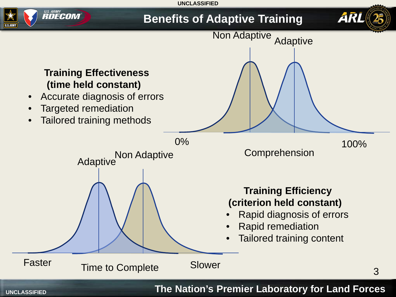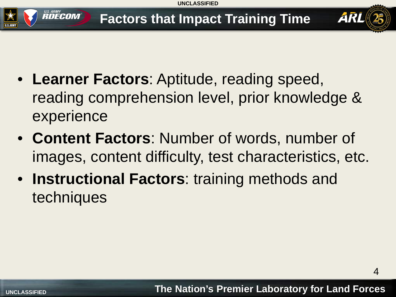## **Factors that Impact Training Time**

- **Learner Factors**: Aptitude, reading speed, reading comprehension level, prior knowledge & experience
- **Content Factors**: Number of words, number of images, content difficulty, test characteristics, etc.
- **Instructional Factors**: training methods and techniques

ARI

**RDECOM®**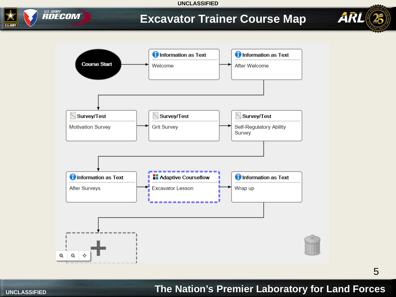

### **Excavator Trainer Course Map**



ARI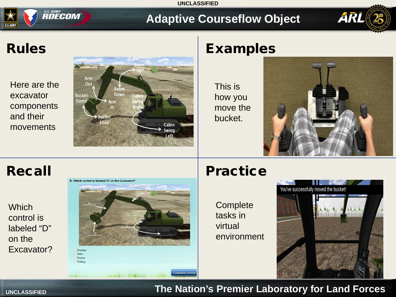

**U.S.ARMY** 

*U.S. ARMY*<br>**RDECOM** 

Here are the excavator components and their movements



This is how you move the bucket.



ARL

**Which** control is labeled "D" on the Excavator?



 $\bigcirc$  Bucket  $\supset$  Arm  $O$  Boom  $\circ$  Swing

 $A_1$  and  $A_2$  are  $A_2$  and  $A_3$  are  $A_4$  and  $A_5$  and  $A_6$  and  $A_7$  and  $A_8$ 



**Complete** tasks in virtual environment

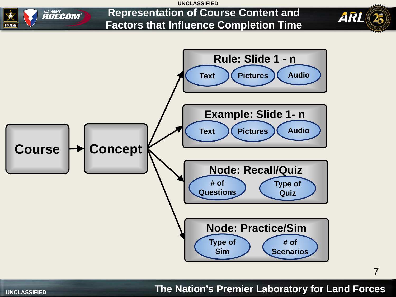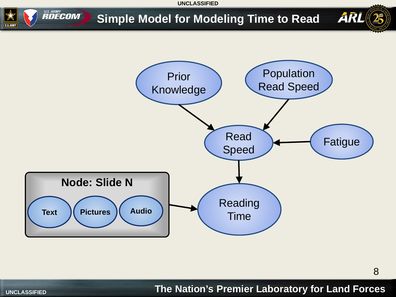

**UNCLASSIFIED The Nation's Premier Laboratory for Land Forces** 

8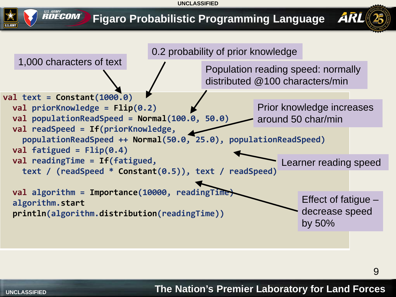

9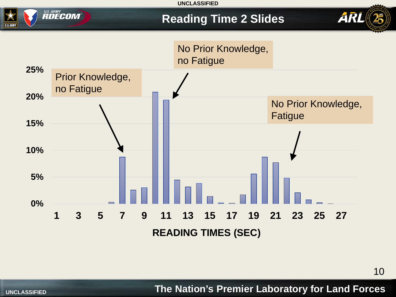### **Reading Time 2 Slides**



**UNCLASSIFIED The Nation's Premier Laboratory for Land Forces** 

10

ARL

U.S. ARMY<br>**RDECOM** 

U.S.ARMY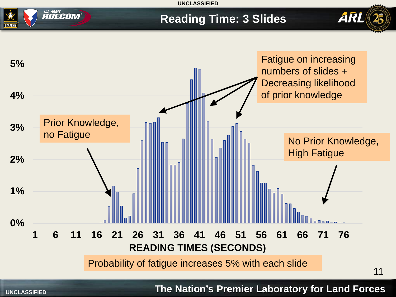### **Reading Time: 3 Slides**

ARL



**UNCLASSIFIED The Nation's Premier Laboratory for Land Forces**

*U.S. ARMY*<br>**RDECOM** 

U.S.ARMY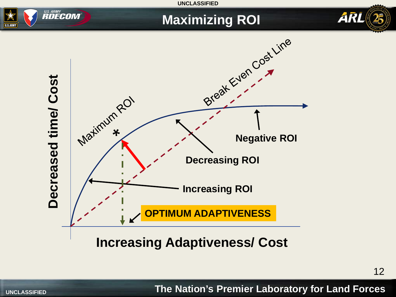

### **Maximizing ROI**





**Increasing Adaptiveness/ Cost**